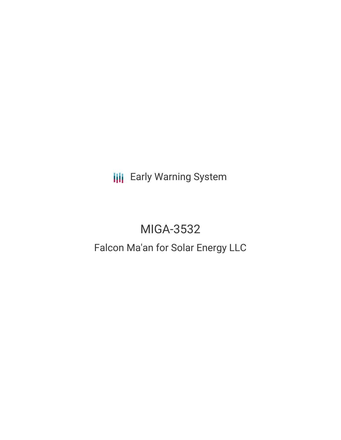**III** Early Warning System

# MIGA-3532

## Falcon Ma'an for Solar Energy LLC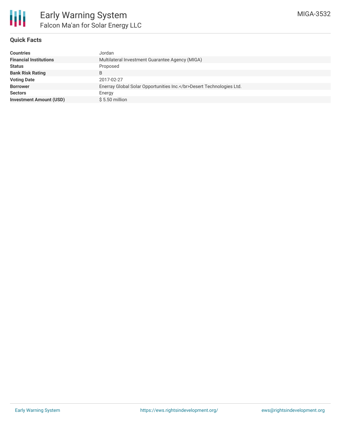

## **Quick Facts**

| Jordan                                                          |
|-----------------------------------------------------------------|
| Multilateral Investment Guarantee Agency (MIGA)                 |
| Proposed                                                        |
|                                                                 |
| 2017-02-27                                                      |
| Enerray Global Solar Opportunities Inc.Desert Technologies Ltd. |
| Energy                                                          |
| $$5.50$ million                                                 |
|                                                                 |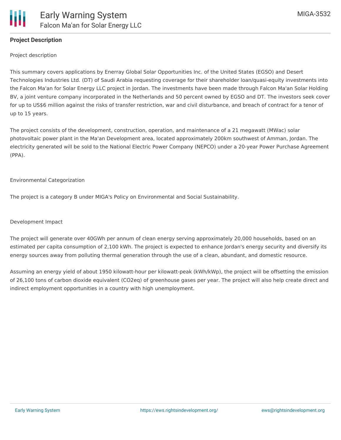

## **Project Description**

Project description

This summary covers applications by Enerray Global Solar Opportunities Inc. of the United States (EGSO) and Desert Technologies Industries Ltd. (DT) of Saudi Arabia requesting coverage for their shareholder loan/quasi-equity investments into the Falcon Ma'an for Solar Energy LLC project in Jordan. The investments have been made through Falcon Ma'an Solar Holding BV, a joint venture company incorporated in the Netherlands and 50 percent owned by EGSO and DT. The investors seek cover for up to US\$6 million against the risks of transfer restriction, war and civil disturbance, and breach of contract for a tenor of up to 15 years.

The project consists of the development, construction, operation, and maintenance of a 21 megawatt (MWac) solar photovoltaic power plant in the Ma'an Development area, located approximately 200km southwest of Amman, Jordan. The electricity generated will be sold to the National Electric Power Company (NEPCO) under a 20-year Power Purchase Agreement (PPA).

#### Environmental Categorization

The project is a category B under MIGA's Policy on Environmental and Social Sustainability.

#### Development Impact

The project will generate over 40GWh per annum of clean energy serving approximately 20,000 households, based on an estimated per capita consumption of 2,100 kWh. The project is expected to enhance Jordan's energy security and diversify its energy sources away from polluting thermal generation through the use of a clean, abundant, and domestic resource.

Assuming an energy yield of about 1950 kilowatt-hour per kilowatt-peak (kWh/kWp), the project will be offsetting the emission of 26,100 tons of carbon dioxide equivalent (CO2eq) of greenhouse gases per year. The project will also help create direct and indirect employment opportunities in a country with high unemployment.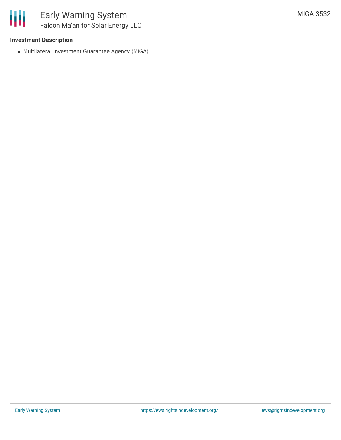## **Investment Description**

Multilateral Investment Guarantee Agency (MIGA)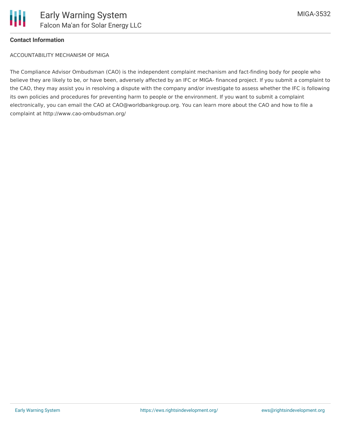

## **Contact Information**

ACCOUNTABILITY MECHANISM OF MIGA

The Compliance Advisor Ombudsman (CAO) is the independent complaint mechanism and fact-finding body for people who believe they are likely to be, or have been, adversely affected by an IFC or MIGA- financed project. If you submit a complaint to the CAO, they may assist you in resolving a dispute with the company and/or investigate to assess whether the IFC is following its own policies and procedures for preventing harm to people or the environment. If you want to submit a complaint electronically, you can email the CAO at CAO@worldbankgroup.org. You can learn more about the CAO and how to file a complaint at http://www.cao-ombudsman.org/